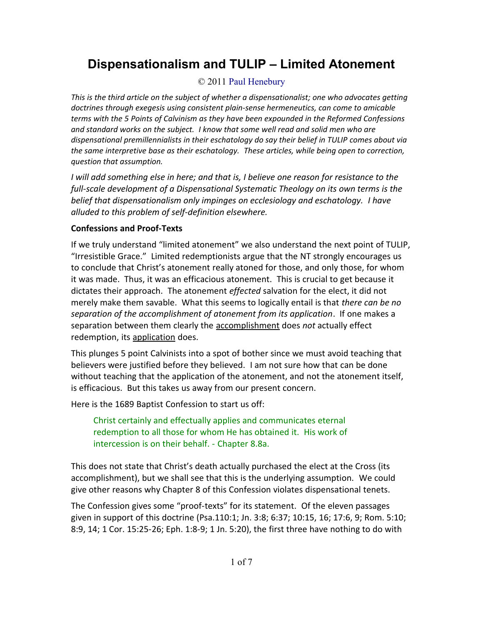# **Dispensationalism and TULIP – Limited Atonement**

# © 2011 [Paul Henebury](http://www.spiritandtruth.org/id/ph.htm)

*This is the third article on the subject of whether a dispensationalist; one who advocates getting doctrines through exegesis using consistent plain-sense hermeneutics, can come to amicable terms with the 5 Points of Calvinism as they have been expounded in the Reformed Confessions and standard works on the subject. I know that some well read and solid men who are dispensational premillennialists in their eschatology do say their belief in TULIP comes about via the same interpretive base as their eschatology. These articles, while being open to correction, question that assumption.*

*I will add something else in here; and that is, I believe one reason for resistance to the full-scale development of a Dispensational Systematic Theology on its own terms is the belief that dispensationalism only impinges on ecclesiology and eschatology. I have alluded to this problem of self-definition elsewhere.* 

## **Confessions and Proof-Texts**

If we truly understand "limited atonement" we also understand the next point of TULIP, "Irresistible Grace." Limited redemptionists argue that the NT strongly encourages us to conclude that Christ's atonement really atoned for those, and only those, for whom it was made. Thus, it was an efficacious atonement. This is crucial to get because it dictates their approach. The atonement *effected* salvation for the elect, it did not merely make them savable. What this seems to logically entail is that *there can be no separation of the accomplishment of atonement from its application*. If one makes a separation between them clearly the accomplishment does *not* actually effect redemption, its application does.

This plunges 5 point Calvinists into a spot of bother since we must avoid teaching that believers were justified before they believed. I am not sure how that can be done without teaching that the application of the atonement, and not the atonement itself, is efficacious. But this takes us away from our present concern.

Here is the 1689 Baptist Confession to start us off:

Christ certainly and effectually applies and communicates eternal redemption to all those for whom He has obtained it. His work of intercession is on their behalf. - Chapter 8.8a.

This does not state that Christ's death actually purchased the elect at the Cross (its accomplishment), but we shall see that this is the underlying assumption. We could give other reasons why Chapter 8 of this Confession violates dispensational tenets.

The Confession gives some "proof-texts" for its statement. Of the eleven passages given in support of this doctrine (Psa.110:1; Jn. 3:8; 6:37; 10:15, 16; 17:6, 9; Rom. 5:10; 8:9, 14; 1 Cor. 15:25-26; Eph. 1:8-9; 1 Jn. 5:20), the first three have nothing to do with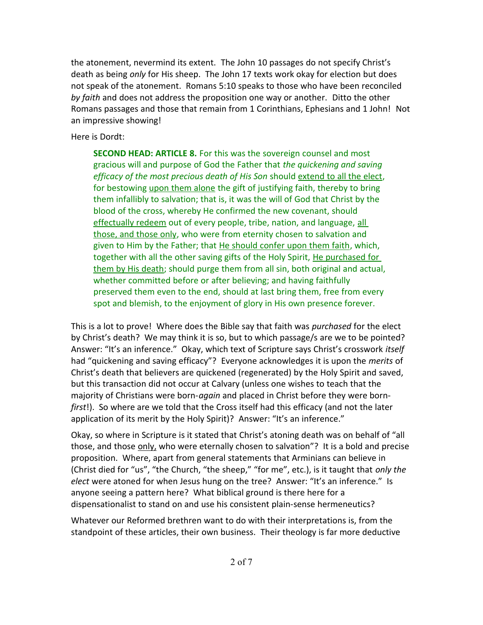the atonement, nevermind its extent. The John 10 passages do not specify Christ's death as being *only* for His sheep. The John 17 texts work okay for election but does not speak of the atonement. Romans 5:10 speaks to those who have been reconciled *by faith* and does not address the proposition one way or another. Ditto the other Romans passages and those that remain from 1 Corinthians, Ephesians and 1 John! Not an impressive showing!

Here is Dordt:

**SECOND HEAD: ARTICLE 8.** For this was the sovereign counsel and most gracious will and purpose of God the Father that *the quickening and saving efficacy of the most precious death of His Son* should extend to all the elect, for bestowing upon them alone the gift of justifying faith, thereby to bring them infallibly to salvation; that is, it was the will of God that Christ by the blood of the cross, whereby He confirmed the new covenant, should effectually redeem out of every people, tribe, nation, and language, all those, and those only, who were from eternity chosen to salvation and given to Him by the Father; that He should confer upon them faith, which, together with all the other saving gifts of the Holy Spirit, He purchased for them by His death; should purge them from all sin, both original and actual, whether committed before or after believing; and having faithfully preserved them even to the end, should at last bring them, free from every spot and blemish, to the enjoyment of glory in His own presence forever.

This is a lot to prove! Where does the Bible say that faith was *purchased* for the elect by Christ's death? We may think it is so, but to which passage/s are we to be pointed? Answer: "It's an inference." Okay, which text of Scripture says Christ's crosswork *itself* had "quickening and saving efficacy"? Everyone acknowledges it is upon the *merits* of Christ's death that believers are quickened (regenerated) by the Holy Spirit and saved, but this transaction did not occur at Calvary (unless one wishes to teach that the majority of Christians were born-*again* and placed in Christ before they were born*first*!). So where are we told that the Cross itself had this efficacy (and not the later application of its merit by the Holy Spirit)? Answer: "It's an inference."

Okay, so where in Scripture is it stated that Christ's atoning death was on behalf of "all those, and those only, who were eternally chosen to salvation"? It is a bold and precise proposition. Where, apart from general statements that Arminians can believe in (Christ died for "us", "the Church, "the sheep," "for me", etc.), is it taught that *only the elect* were atoned for when Jesus hung on the tree? Answer: "It's an inference." Is anyone seeing a pattern here? What biblical ground is there here for a dispensationalist to stand on and use his consistent plain-sense hermeneutics?

Whatever our Reformed brethren want to do with their interpretations is, from the standpoint of these articles, their own business. Their theology is far more deductive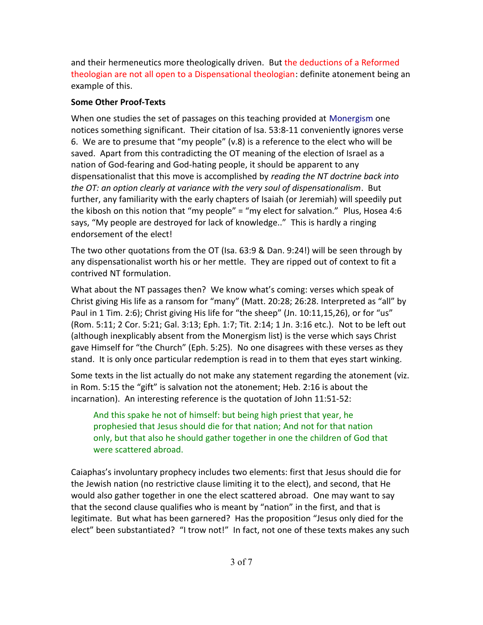and their hermeneutics more theologically driven. But the deductions of a Reformed theologian are not all open to a Dispensational theologian: definite atonement being an example of this.

#### **Some Other Proof-Texts**

When one studies the set of passages on this teaching provided at [Monergism](http://www.monergism.com/) one notices something significant. Their citation of Isa. 53:8-11 conveniently ignores verse 6. We are to presume that "my people" (v.8) is a reference to the elect who will be saved. Apart from this contradicting the OT meaning of the election of Israel as a nation of God-fearing and God-hating people, it should be apparent to any dispensationalist that this move is accomplished by *reading the NT doctrine back into the OT: an option clearly at variance with the very soul of dispensationalism*. But further, any familiarity with the early chapters of Isaiah (or Jeremiah) will speedily put the kibosh on this notion that "my people" = "my elect for salvation." Plus, Hosea 4:6 says, "My people are destroyed for lack of knowledge.." This is hardly a ringing endorsement of the elect!

The two other quotations from the OT (Isa. 63:9 & Dan. 9:24!) will be seen through by any dispensationalist worth his or her mettle. They are ripped out of context to fit a contrived NT formulation.

What about the NT passages then? We know what's coming: verses which speak of Christ giving His life as a ransom for "many" (Matt. 20:28; 26:28. Interpreted as "all" by Paul in 1 Tim. 2:6); Christ giving His life for "the sheep" (Jn. 10:11,15,26), or for "us" (Rom. 5:11; 2 Cor. 5:21; Gal. 3:13; Eph. 1:7; Tit. 2:14; 1 Jn. 3:16 etc.). Not to be left out (although inexplicably absent from the Monergism list) is the verse which says Christ gave Himself for "the Church" (Eph. 5:25). No one disagrees with these verses as they stand. It is only once particular redemption is read in to them that eyes start winking.

Some texts in the list actually do not make any statement regarding the atonement (viz. in Rom. 5:15 the "gift" is salvation not the atonement; Heb. 2:16 is about the incarnation). An interesting reference is the quotation of John 11:51-52:

And this spake he not of himself: but being high priest that year, he prophesied that Jesus should die for that nation; And not for that nation only, but that also he should gather together in one the children of God that were scattered abroad.

Caiaphas's involuntary prophecy includes two elements: first that Jesus should die for the Jewish nation (no restrictive clause limiting it to the elect), and second, that He would also gather together in one the elect scattered abroad. One may want to say that the second clause qualifies who is meant by "nation" in the first, and that is legitimate. But what has been garnered? Has the proposition "Jesus only died for the elect" been substantiated? "I trow not!" In fact, not one of these texts makes any such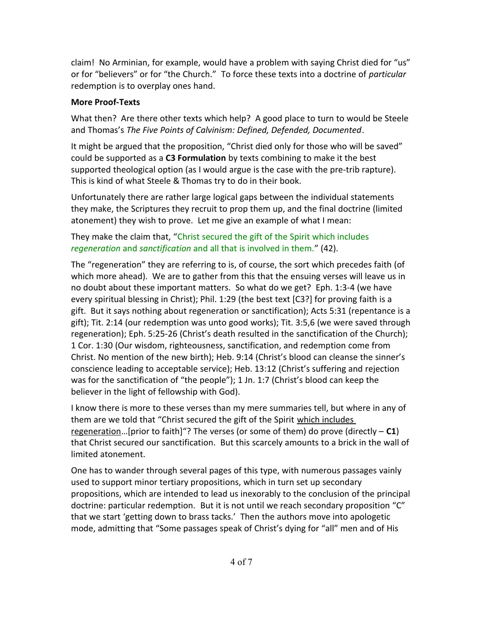claim! No Arminian, for example, would have a problem with saying Christ died for "us" or for "believers" or for "the Church." To force these texts into a doctrine of *particular* redemption is to overplay ones hand.

#### **More Proof-Texts**

What then? Are there other texts which help? A good place to turn to would be Steele and Thomas's *The Five Points of Calvinism: Defined, Defended, Documented*.

It might be argued that the proposition, "Christ died only for those who will be saved" could be supported as a **C3 Formulation** by texts combining to make it the best supported theological option (as I would argue is the case with the pre-trib rapture). This is kind of what Steele & Thomas try to do in their book.

Unfortunately there are rather large logical gaps between the individual statements they make, the Scriptures they recruit to prop them up, and the final doctrine (limited atonement) they wish to prove. Let me give an example of what I mean:

They make the claim that, "Christ secured the gift of the Spirit which includes *regeneration* and *sanctification* and all that is involved in them." (42).

The "regeneration" they are referring to is, of course, the sort which precedes faith (of which more ahead). We are to gather from this that the ensuing verses will leave us in no doubt about these important matters. So what do we get? Eph. 1:3-4 (we have every spiritual blessing in Christ); Phil. 1:29 (the best text [C3?] for proving faith is a gift. But it says nothing about regeneration or sanctification); Acts 5:31 (repentance is a gift); Tit. 2:14 (our redemption was unto good works); Tit. 3:5,6 (we were saved through regeneration); Eph. 5:25-26 (Christ's death resulted in the sanctification of the Church); 1 Cor. 1:30 (Our wisdom, righteousness, sanctification, and redemption come from Christ. No mention of the new birth); Heb. 9:14 (Christ's blood can cleanse the sinner's conscience leading to acceptable service); Heb. 13:12 (Christ's suffering and rejection was for the sanctification of "the people"); 1 Jn. 1:7 (Christ's blood can keep the believer in the light of fellowship with God).

I know there is more to these verses than my mere summaries tell, but where in any of them are we told that "Christ secured the gift of the Spirit which includes regeneration…[prior to faith]"? The verses (or some of them) do prove (directly – **C1**) that Christ secured our sanctification. But this scarcely amounts to a brick in the wall of limited atonement.

One has to wander through several pages of this type, with numerous passages vainly used to support minor tertiary propositions, which in turn set up secondary propositions, which are intended to lead us inexorably to the conclusion of the principal doctrine: particular redemption. But it is not until we reach secondary proposition "C" that we start 'getting down to brass tacks.' Then the authors move into apologetic mode, admitting that "Some passages speak of Christ's dying for "all" men and of His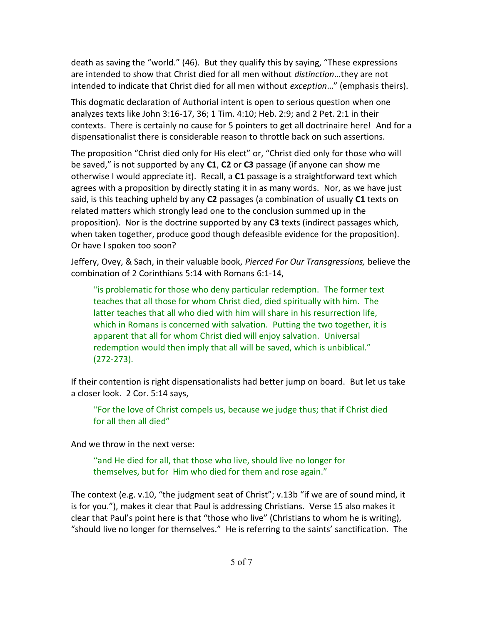death as saving the "world." (46). But they qualify this by saying, "These expressions are intended to show that Christ died for all men without *distinction*…they are not intended to indicate that Christ died for all men without *exception*…" (emphasis theirs).

This dogmatic declaration of Authorial intent is open to serious question when one analyzes texts like John 3:16-17, 36; 1 Tim. 4:10; Heb. 2:9; and 2 Pet. 2:1 in their contexts. There is certainly no cause for 5 pointers to get all doctrinaire here! And for a dispensationalist there is considerable reason to throttle back on such assertions.

The proposition "Christ died only for His elect" or, "Christ died only for those who will be saved," is not supported by any **C1**, **C2** or **C3** passage (if anyone can show me otherwise I would appreciate it). Recall, a **C1** passage is a straightforward text which agrees with a proposition by directly stating it in as many words. Nor, as we have just said, is this teaching upheld by any **C2** passages (a combination of usually **C1** texts on related matters which strongly lead one to the conclusion summed up in the proposition). Nor is the doctrine supported by any **C3** texts (indirect passages which, when taken together, produce good though defeasible evidence for the proposition). Or have I spoken too soon?

Jeffery, Ovey, & Sach, in their valuable book, *Pierced For Our Transgressions,* believe the combination of 2 Corinthians 5:14 with Romans 6:1-14,

"is problematic for those who deny particular redemption. The former text teaches that all those for whom Christ died, died spiritually with him. The latter teaches that all who died with him will share in his resurrection life, which in Romans is concerned with salvation. Putting the two together, it is apparent that all for whom Christ died will enjoy salvation. Universal redemption would then imply that all will be saved, which is unbiblical." (272-273).

If their contention is right dispensationalists had better jump on board. But let us take a closer look. 2 Cor. 5:14 says,

"For the love of Christ compels us, because we judge thus; that if Christ died for all then all died"

And we throw in the next verse:

"and He died for all, that those who live, should live no longer for themselves, but for Him who died for them and rose again."

The context (e.g. v.10, "the judgment seat of Christ"; v.13b "if we are of sound mind, it is for you."), makes it clear that Paul is addressing Christians. Verse 15 also makes it clear that Paul's point here is that "those who live" (Christians to whom he is writing), "should live no longer for themselves." He is referring to the saints' sanctification. The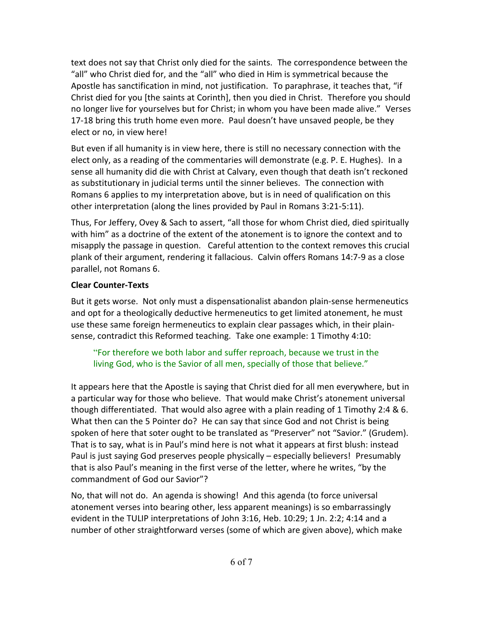text does not say that Christ only died for the saints. The correspondence between the "all" who Christ died for, and the "all" who died in Him is symmetrical because the Apostle has sanctification in mind, not justification. To paraphrase, it teaches that, "if Christ died for you [the saints at Corinth], then you died in Christ. Therefore you should no longer live for yourselves but for Christ; in whom you have been made alive." Verses 17-18 bring this truth home even more. Paul doesn't have unsaved people, be they elect or no, in view here!

But even if all humanity is in view here, there is still no necessary connection with the elect only, as a reading of the commentaries will demonstrate (e.g. P. E. Hughes). In a sense all humanity did die with Christ at Calvary, even though that death isn't reckoned as substitutionary in judicial terms until the sinner believes. The connection with Romans 6 applies to my interpretation above, but is in need of qualification on this other interpretation (along the lines provided by Paul in Romans 3:21-5:11).

Thus, For Jeffery, Ovey & Sach to assert, "all those for whom Christ died, died spiritually with him" as a doctrine of the extent of the atonement is to ignore the context and to misapply the passage in question. Careful attention to the context removes this crucial plank of their argument, rendering it fallacious. Calvin offers Romans 14:7-9 as a close parallel, not Romans 6.

### **Clear Counter-Texts**

But it gets worse. Not only must a dispensationalist abandon plain-sense hermeneutics and opt for a theologically deductive hermeneutics to get limited atonement, he must use these same foreign hermeneutics to explain clear passages which, in their plainsense, contradict this Reformed teaching. Take one example: 1 Timothy 4:10:

"For therefore we both labor and suffer reproach, because we trust in the living God, who is the Savior of all men, specially of those that believe."

It appears here that the Apostle is saying that Christ died for all men everywhere, but in a particular way for those who believe. That would make Christ's atonement universal though differentiated. That would also agree with a plain reading of 1 Timothy 2:4 & 6. What then can the 5 Pointer do? He can say that since God and not Christ is being spoken of here that soter ought to be translated as "Preserver" not "Savior." (Grudem). That is to say, what is in Paul's mind here is not what it appears at first blush: instead Paul is just saying God preserves people physically – especially believers! Presumably that is also Paul's meaning in the first verse of the letter, where he writes, "by the commandment of God our Savior"?

No, that will not do. An agenda is showing! And this agenda (to force universal atonement verses into bearing other, less apparent meanings) is so embarrassingly evident in the TULIP interpretations of John 3:16, Heb. 10:29; 1 Jn. 2:2; 4:14 and a number of other straightforward verses (some of which are given above), which make